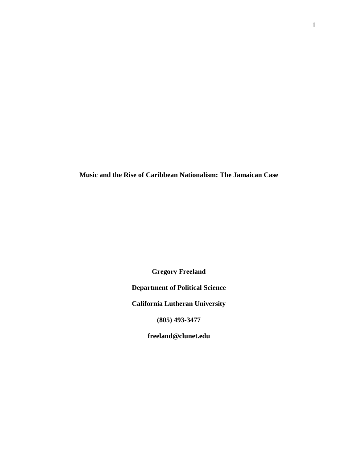**Music and the Rise of Caribbean Nationalism: The Jamaican Case**

**Gregory Freeland**

**Department of Political Science**

**California Lutheran University**

**(805) 493-3477**

**freeland@clunet.edu**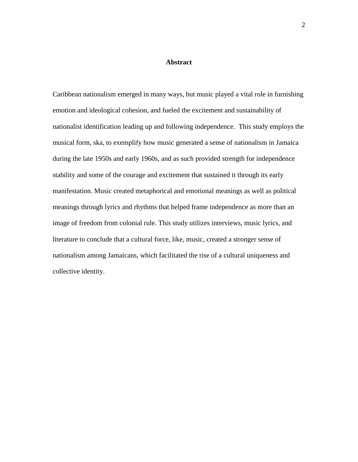# **Abstract**

Caribbean nationalism emerged in many ways, but music played a vital role in furnishing emotion and ideological cohesion, and fueled the excitement and sustainability of nationalist identification leading up and following independence. This study employs the musical form, ska, to exemplify how music generated a sense of nationalism in Jamaica during the late 1950s and early 1960s, and as such provided strength for independence stability and some of the courage and excitement that sustained it through its early manifestation. Music created metaphorical and emotional meanings as well as political meanings through lyrics and rhythms that helped frame independence as more than an image of freedom from colonial rule. This study utilizes interviews, music lyrics, and literature to conclude that a cultural force, like, music, created a stronger sense of nationalism among Jamaicans, which facilitated the rise of a cultural uniqueness and collective identity.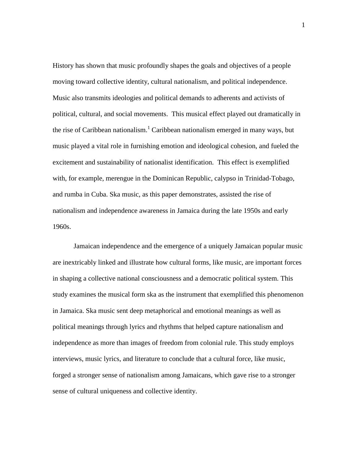History has shown that music profoundly shapes the goals and objectives of a people moving toward collective identity, cultural nationalism, and political independence. Music also transmits ideologies and political demands to adherents and activists of political, cultural, and social movements. This musical effect played out dramatically in the rise of Caribbean nationalism.<sup>1</sup> Caribbean nationalism emerged in many ways, but music played a vital role in furnishing emotion and ideological cohesion, and fueled the excitement and sustainability of nationalist identification. This effect is exemplified with, for example, merengue in the Dominican Republic, calypso in Trinidad-Tobago, and rumba in Cuba. Ska music, as this paper demonstrates, assisted the rise of nationalism and independence awareness in Jamaica during the late 1950s and early 1960s.

Jamaican independence and the emergence of a uniquely Jamaican popular music are inextricably linked and illustrate how cultural forms, like music, are important forces in shaping a collective national consciousness and a democratic political system. This study examines the musical form ska as the instrument that exemplified this phenomenon in Jamaica. Ska music sent deep metaphorical and emotional meanings as well as political meanings through lyrics and rhythms that helped capture nationalism and independence as more than images of freedom from colonial rule. This study employs interviews, music lyrics, and literature to conclude that a cultural force, like music, forged a stronger sense of nationalism among Jamaicans, which gave rise to a stronger sense of cultural uniqueness and collective identity.

1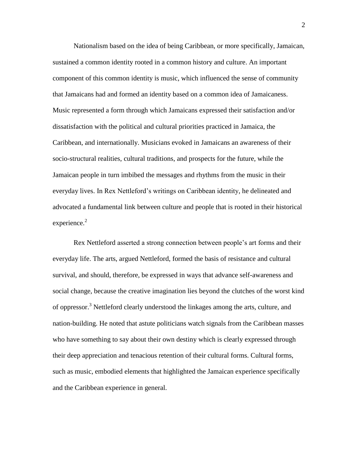Nationalism based on the idea of being Caribbean, or more specifically, Jamaican, sustained a common identity rooted in a common history and culture. An important component of this common identity is music, which influenced the sense of community that Jamaicans had and formed an identity based on a common idea of Jamaicaness. Music represented a form through which Jamaicans expressed their satisfaction and/or dissatisfaction with the political and cultural priorities practiced in Jamaica, the Caribbean, and internationally. Musicians evoked in Jamaicans an awareness of their socio-structural realities, cultural traditions, and prospects for the future, while the Jamaican people in turn imbibed the messages and rhythms from the music in their everyday lives. In Rex Nettleford"s writings on Caribbean identity, he delineated and advocated a fundamental link between culture and people that is rooted in their historical experience. $2$ 

Rex Nettleford asserted a strong connection between people"s art forms and their everyday life. The arts, argued Nettleford, formed the basis of resistance and cultural survival, and should, therefore, be expressed in ways that advance self-awareness and social change, because the creative imagination lies beyond the clutches of the worst kind of oppressor.<sup>3</sup> Nettleford clearly understood the linkages among the arts, culture, and nation-building. He noted that astute politicians watch signals from the Caribbean masses who have something to say about their own destiny which is clearly expressed through their deep appreciation and tenacious retention of their cultural forms. Cultural forms, such as music, embodied elements that highlighted the Jamaican experience specifically and the Caribbean experience in general.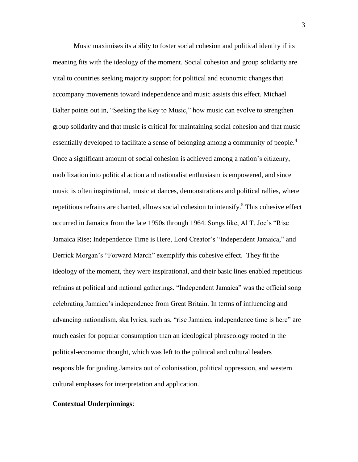Music maximises its ability to foster social cohesion and political identity if its meaning fits with the ideology of the moment. Social cohesion and group solidarity are vital to countries seeking majority support for political and economic changes that accompany movements toward independence and music assists this effect. Michael Balter points out in, "Seeking the Key to Music," how music can evolve to strengthen group solidarity and that music is critical for maintaining social cohesion and that music essentially developed to facilitate a sense of belonging among a community of people.<sup>4</sup> Once a significant amount of social cohesion is achieved among a nation"s citizenry, mobilization into political action and nationalist enthusiasm is empowered, and since music is often inspirational, music at dances, demonstrations and political rallies, where repetitious refrains are chanted, allows social cohesion to intensify.<sup>5</sup> This cohesive effect occurred in Jamaica from the late 1950s through 1964. Songs like, Al T. Joe"s "Rise Jamaica Rise; Independence Time is Here, Lord Creator's "Independent Jamaica," and Derrick Morgan"s "Forward March" exemplify this cohesive effect. They fit the ideology of the moment, they were inspirational, and their basic lines enabled repetitious refrains at political and national gatherings. "Independent Jamaica" was the official song celebrating Jamaica"s independence from Great Britain. In terms of influencing and advancing nationalism, ska lyrics, such as, "rise Jamaica, independence time is here" are much easier for popular consumption than an ideological phraseology rooted in the political-economic thought, which was left to the political and cultural leaders responsible for guiding Jamaica out of colonisation, political oppression, and western cultural emphases for interpretation and application.

## **Contextual Underpinnings**: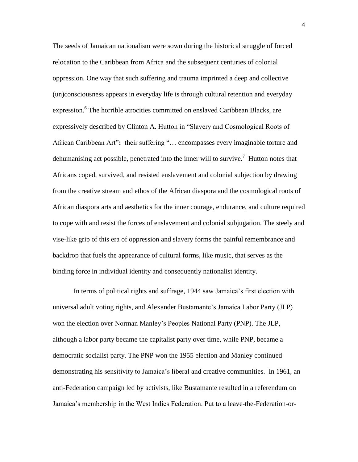The seeds of Jamaican nationalism were sown during the historical struggle of forced relocation to the Caribbean from Africa and the subsequent centuries of colonial oppression. One way that such suffering and trauma imprinted a deep and collective (un)consciousness appears in everyday life is through cultural retention and everyday expression.<sup>6</sup> The horrible atrocities committed on enslaved Caribbean Blacks, are expressively described by Clinton A. Hutton in "Slavery and Cosmological Roots of African Caribbean Art"**:** their suffering "… encompasses every imaginable torture and dehumanising act possible, penetrated into the inner will to survive.<sup>7</sup> Hutton notes that Africans coped, survived, and resisted enslavement and colonial subjection by drawing from the creative stream and ethos of the African diaspora and the cosmological roots of African diaspora arts and aesthetics for the inner courage, endurance, and culture required to cope with and resist the forces of enslavement and colonial subjugation. The steely and vise-like grip of this era of oppression and slavery forms the painful remembrance and backdrop that fuels the appearance of cultural forms, like music, that serves as the binding force in individual identity and consequently nationalist identity.

In terms of political rights and suffrage, 1944 saw Jamaica"s first election with universal adult voting rights, and Alexander Bustamante"s Jamaica Labor Party (JLP) won the election over Norman Manley"s Peoples National Party (PNP). The JLP, although a labor party became the capitalist party over time, while PNP, became a democratic socialist party. The PNP won the 1955 election and Manley continued demonstrating his sensitivity to Jamaica"s liberal and creative communities. In 1961, an anti-Federation campaign led by activists, like Bustamante resulted in a referendum on Jamaica"s membership in the West Indies Federation. Put to a leave-the-Federation-or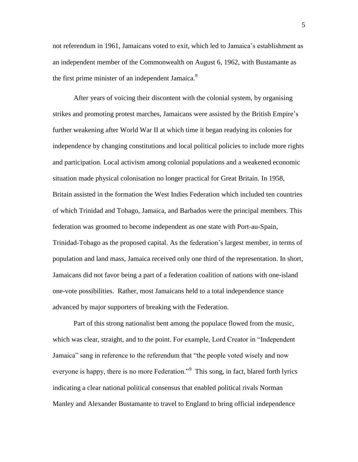not referendum in 1961, Jamaicans voted to exit, which led to Jamaica"s establishment as an independent member of the Commonwealth on August 6, 1962, with Bustamante as the first prime minister of an independent Jamaica.<sup>8</sup>

After years of voicing their discontent with the colonial system, by organising strikes and promoting protest marches, Jamaicans were assisted by the British Empire"s further weakening after World War II at which time it began readying its colonies for independence by changing constitutions and local political policies to include more rights and participation. Local activism among colonial populations and a weakened economic situation made physical colonisation no longer practical for Great Britain. In 1958, Britain assisted in the formation the West Indies Federation which included ten countries of which Trinidad and Tobago, Jamaica, and Barbados were the principal members. This federation was groomed to become independent as one state with Port-au-Spain, Trinidad-Tobago as the proposed capital. As the federation"s largest member, in terms of population and land mass, Jamaica received only one third of the representation. In short, Jamaicans did not favor being a part of a federation coalition of nations with one-island one-vote possibilities. Rather, most Jamaicans held to a total independence stance advanced by major supporters of breaking with the Federation.

Part of this strong nationalist bent among the populace flowed from the music, which was clear, straight, and to the point. For example, Lord Creator in "Independent Jamaica" sang in reference to the referendum that "the people voted wisely and now everyone is happy, there is no more Federation."<sup>9</sup> This song, in fact, blared forth lyrics indicating a clear national political consensus that enabled political rivals Norman Manley and Alexander Bustamante to travel to England to bring official independence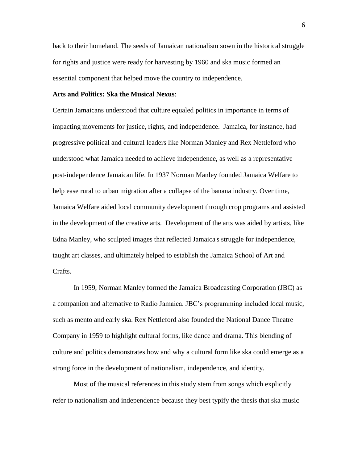back to their homeland. The seeds of Jamaican nationalism sown in the historical struggle for rights and justice were ready for harvesting by 1960 and ska music formed an essential component that helped move the country to independence.

## **Arts and Politics: Ska the Musical Nexus**:

Certain Jamaicans understood that culture equaled politics in importance in terms of impacting movements for justice, rights, and independence. Jamaica, for instance, had progressive political and cultural leaders like Norman Manley and Rex Nettleford who understood what Jamaica needed to achieve independence, as well as a representative post-independence Jamaican life. In 1937 Norman Manley founded Jamaica Welfare to help ease rural to urban migration after a collapse of the banana industry. Over time, Jamaica Welfare aided local community development through crop programs and assisted in the development of the creative arts. Development of the arts was aided by artists, like Edna Manley, who sculpted images that reflected Jamaica's struggle for independence, taught art classes, and ultimately helped to establish the Jamaica School of Art and Crafts.

In 1959, Norman Manley formed the Jamaica Broadcasting Corporation (JBC) as a companion and alternative to Radio Jamaica. JBC"s programming included local music, such as mento and early ska. Rex Nettleford also founded the National Dance Theatre Company in 1959 to highlight cultural forms, like dance and drama. This blending of culture and politics demonstrates how and why a cultural form like ska could emerge as a strong force in the development of nationalism, independence, and identity.

Most of the musical references in this study stem from songs which explicitly refer to nationalism and independence because they best typify the thesis that ska music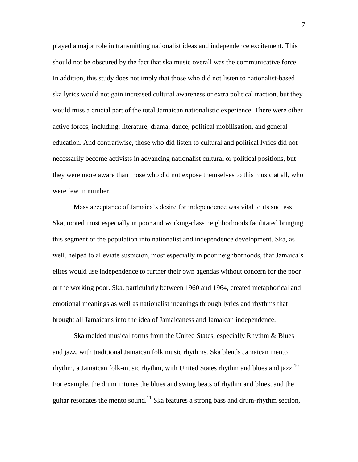played a major role in transmitting nationalist ideas and independence excitement. This should not be obscured by the fact that ska music overall was the communicative force. In addition, this study does not imply that those who did not listen to nationalist-based ska lyrics would not gain increased cultural awareness or extra political traction, but they would miss a crucial part of the total Jamaican nationalistic experience. There were other active forces, including: literature, drama, dance, political mobilisation, and general education. And contrariwise, those who did listen to cultural and political lyrics did not necessarily become activists in advancing nationalist cultural or political positions, but they were more aware than those who did not expose themselves to this music at all, who were few in number.

Mass acceptance of Jamaica's desire for independence was vital to its success. Ska, rooted most especially in poor and working-class neighborhoods facilitated bringing this segment of the population into nationalist and independence development. Ska, as well, helped to alleviate suspicion, most especially in poor neighborhoods, that Jamaica"s elites would use independence to further their own agendas without concern for the poor or the working poor. Ska, particularly between 1960 and 1964, created metaphorical and emotional meanings as well as nationalist meanings through lyrics and rhythms that brought all Jamaicans into the idea of Jamaicaness and Jamaican independence.

Ska melded musical forms from the United States, especially Rhythm & Blues and jazz, with traditional Jamaican folk music rhythms. Ska blends Jamaican mento rhythm, a Jamaican folk-music rhythm, with United States rhythm and blues and jazz.<sup>10</sup> For example, the drum intones the blues and swing beats of rhythm and blues, and the guitar resonates the mento sound.<sup>11</sup> Ska features a strong bass and drum-rhythm section,

7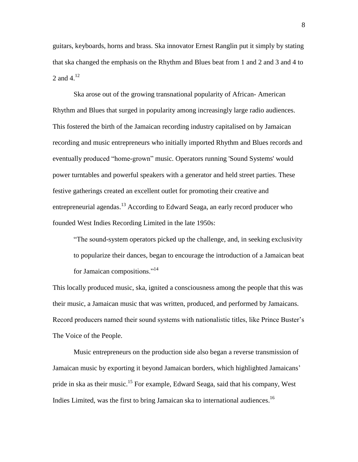guitars, keyboards, horns and brass. Ska innovator Ernest Ranglin put it simply by stating that ska changed the emphasis on the Rhythm and Blues beat from 1 and 2 and 3 and 4 to 2 and  $4^{12}$ 

Ska arose out of the growing transnational popularity of African- American Rhythm and Blues that surged in popularity among increasingly large radio audiences. This fostered the birth of the Jamaican recording industry capitalised on by Jamaican recording and music entrepreneurs who initially imported Rhythm and Blues records and eventually produced "home-grown" music. Operators running 'Sound Systems' would power turntables and powerful speakers with a generator and held street parties. These festive gatherings created an excellent outlet for promoting their creative and entrepreneurial agendas.<sup>13</sup> According to Edward Seaga, an early record producer who founded West Indies Recording Limited in the late 1950s:

"The sound-system operators picked up the challenge, and, in seeking exclusivity to popularize their dances, began to encourage the introduction of a Jamaican beat for Jamaican compositions."<sup>14</sup>

This locally produced music, ska, ignited a consciousness among the people that this was their music, a Jamaican music that was written, produced, and performed by Jamaicans. Record producers named their sound systems with nationalistic titles, like Prince Buster"s The Voice of the People.

Music entrepreneurs on the production side also began a reverse transmission of Jamaican music by exporting it beyond Jamaican borders, which highlighted Jamaicans' pride in ska as their music.<sup>15</sup> For example, Edward Seaga, said that his company, West Indies Limited, was the first to bring Jamaican ska to international audiences.<sup>16</sup>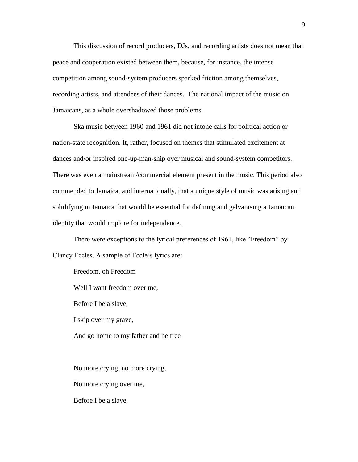This discussion of record producers, DJs, and recording artists does not mean that peace and cooperation existed between them, because, for instance, the intense competition among sound-system producers sparked friction among themselves, recording artists, and attendees of their dances. The national impact of the music on Jamaicans, as a whole overshadowed those problems.

Ska music between 1960 and 1961 did not intone calls for political action or nation-state recognition. It, rather, focused on themes that stimulated excitement at dances and/or inspired one-up-man-ship over musical and sound-system competitors. There was even a mainstream/commercial element present in the music. This period also commended to Jamaica, and internationally, that a unique style of music was arising and solidifying in Jamaica that would be essential for defining and galvanising a Jamaican identity that would implore for independence.

There were exceptions to the lyrical preferences of 1961, like "Freedom" by Clancy Eccles. A sample of Eccle"s lyrics are:

Freedom, oh Freedom

Well I want freedom over me,

Before I be a slave,

I skip over my grave,

And go home to my father and be free

No more crying, no more crying,

No more crying over me,

Before I be a slave,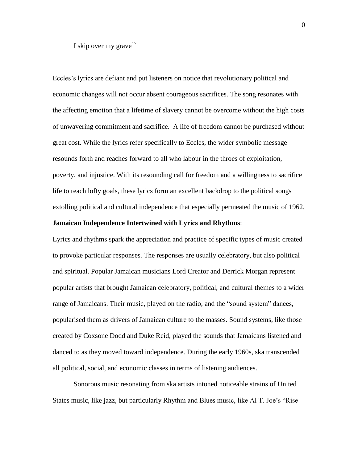I skip over my grave  $17$ 

Eccles"s lyrics are defiant and put listeners on notice that revolutionary political and economic changes will not occur absent courageous sacrifices. The song resonates with the affecting emotion that a lifetime of slavery cannot be overcome without the high costs of unwavering commitment and sacrifice. A life of freedom cannot be purchased without great cost. While the lyrics refer specifically to Eccles, the wider symbolic message resounds forth and reaches forward to all who labour in the throes of exploitation, poverty, and injustice. With its resounding call for freedom and a willingness to sacrifice life to reach lofty goals, these lyrics form an excellent backdrop to the political songs extolling political and cultural independence that especially permeated the music of 1962.

#### **Jamaican Independence Intertwined with Lyrics and Rhythms**:

Lyrics and rhythms spark the appreciation and practice of specific types of music created to provoke particular responses. The responses are usually celebratory, but also political and spiritual. Popular Jamaican musicians Lord Creator and Derrick Morgan represent popular artists that brought Jamaican celebratory, political, and cultural themes to a wider range of Jamaicans. Their music, played on the radio, and the "sound system" dances, popularised them as drivers of Jamaican culture to the masses. Sound systems, like those created by Coxsone Dodd and Duke Reid, played the sounds that Jamaicans listened and danced to as they moved toward independence. During the early 1960s, ska transcended all political, social, and economic classes in terms of listening audiences.

Sonorous music resonating from ska artists intoned noticeable strains of United States music, like jazz, but particularly Rhythm and Blues music, like Al T. Joe"s "Rise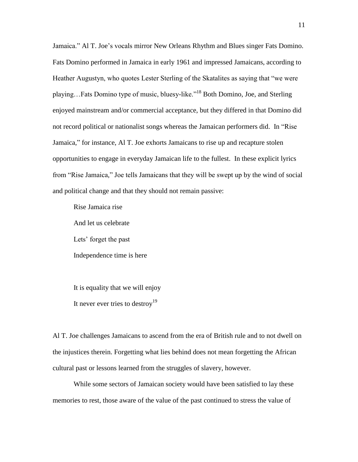Jamaica." Al T. Joe's vocals mirror New Orleans Rhythm and Blues singer Fats Domino. Fats Domino performed in Jamaica in early 1961 and impressed Jamaicans, according to Heather Augustyn, who quotes Lester Sterling of the Skatalites as saying that "we were playing…Fats Domino type of music, bluesy-like."<sup>18</sup> Both Domino, Joe, and Sterling enjoyed mainstream and/or commercial acceptance, but they differed in that Domino did not record political or nationalist songs whereas the Jamaican performers did. In "Rise Jamaica," for instance, Al T. Joe exhorts Jamaicans to rise up and recapture stolen opportunities to engage in everyday Jamaican life to the fullest. In these explicit lyrics from "Rise Jamaica," Joe tells Jamaicans that they will be swept up by the wind of social and political change and that they should not remain passive:

Rise Jamaica rise And let us celebrate Lets' forget the past Independence time is here

It is equality that we will enjoy It never ever tries to destroy<sup>19</sup>

Al T. Joe challenges Jamaicans to ascend from the era of British rule and to not dwell on the injustices therein. Forgetting what lies behind does not mean forgetting the African cultural past or lessons learned from the struggles of slavery, however.

While some sectors of Jamaican society would have been satisfied to lay these memories to rest, those aware of the value of the past continued to stress the value of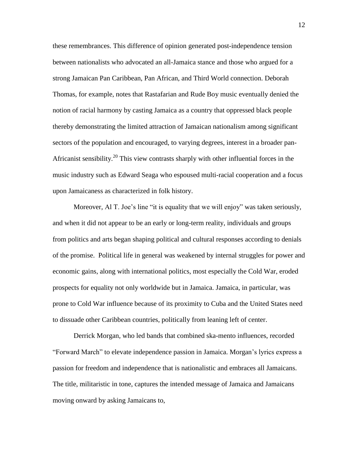these remembrances. This difference of opinion generated post-independence tension between nationalists who advocated an all-Jamaica stance and those who argued for a strong Jamaican Pan Caribbean, Pan African, and Third World connection. Deborah Thomas, for example, notes that Rastafarian and Rude Boy music eventually denied the notion of racial harmony by casting Jamaica as a country that oppressed black people thereby demonstrating the limited attraction of Jamaican nationalism among significant sectors of the population and encouraged, to varying degrees, interest in a broader pan-Africanist sensibility.<sup>20</sup> This view contrasts sharply with other influential forces in the music industry such as Edward Seaga who espoused multi-racial cooperation and a focus upon Jamaicaness as characterized in folk history.

Moreover, Al T. Joe's line "it is equality that we will enjoy" was taken seriously, and when it did not appear to be an early or long-term reality, individuals and groups from politics and arts began shaping political and cultural responses according to denials of the promise. Political life in general was weakened by internal struggles for power and economic gains, along with international politics, most especially the Cold War, eroded prospects for equality not only worldwide but in Jamaica. Jamaica, in particular, was prone to Cold War influence because of its proximity to Cuba and the United States need to dissuade other Caribbean countries, politically from leaning left of center.

Derrick Morgan, who led bands that combined ska-mento influences, recorded "Forward March" to elevate independence passion in Jamaica. Morgan"s lyrics express a passion for freedom and independence that is nationalistic and embraces all Jamaicans. The title, militaristic in tone, captures the intended message of Jamaica and Jamaicans moving onward by asking Jamaicans to,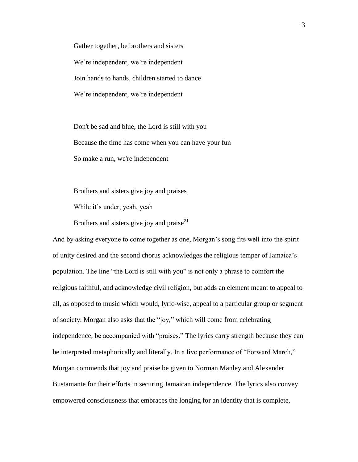Gather together, be brothers and sisters We're independent, we're independent Join hands to hands, children started to dance We're independent, we're independent

Don't be sad and blue, the Lord is still with you Because the time has come when you can have your fun So make a run, we're independent

Brothers and sisters give joy and praises

While it's under, yeah, yeah

Brothers and sisters give joy and praise<sup>21</sup>

And by asking everyone to come together as one, Morgan"s song fits well into the spirit of unity desired and the second chorus acknowledges the religious temper of Jamaica"s population. The line "the Lord is still with you" is not only a phrase to comfort the religious faithful, and acknowledge civil religion, but adds an element meant to appeal to all, as opposed to music which would, lyric-wise, appeal to a particular group or segment of society. Morgan also asks that the "joy," which will come from celebrating independence, be accompanied with "praises." The lyrics carry strength because they can be interpreted metaphorically and literally. In a live performance of "Forward March," Morgan commends that joy and praise be given to Norman Manley and Alexander Bustamante for their efforts in securing Jamaican independence. The lyrics also convey empowered consciousness that embraces the longing for an identity that is complete,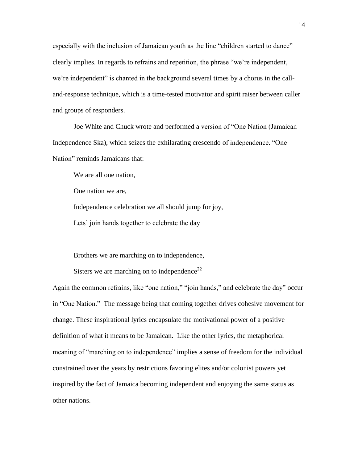especially with the inclusion of Jamaican youth as the line "children started to dance" clearly implies. In regards to refrains and repetition, the phrase "we"re independent, we"re independent" is chanted in the background several times by a chorus in the calland-response technique, which is a time-tested motivator and spirit raiser between caller and groups of responders.

Joe White and Chuck wrote and performed a version of "One Nation (Jamaican Independence Ska), which seizes the exhilarating crescendo of independence. "One Nation" reminds Jamaicans that:

We are all one nation,

One nation we are,

Independence celebration we all should jump for joy,

Lets' join hands together to celebrate the day

Brothers we are marching on to independence,

Sisters we are marching on to independence<sup>22</sup>

Again the common refrains, like "one nation," "join hands," and celebrate the day" occur in "One Nation." The message being that coming together drives cohesive movement for change. These inspirational lyrics encapsulate the motivational power of a positive definition of what it means to be Jamaican. Like the other lyrics, the metaphorical meaning of "marching on to independence" implies a sense of freedom for the individual constrained over the years by restrictions favoring elites and/or colonist powers yet inspired by the fact of Jamaica becoming independent and enjoying the same status as other nations.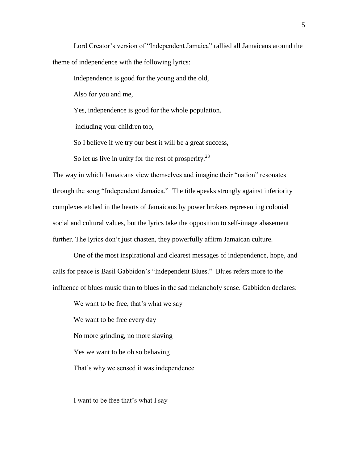Lord Creator's version of "Independent Jamaica" rallied all Jamaicans around the theme of independence with the following lyrics:

Independence is good for the young and the old,

Also for you and me,

Yes, independence is good for the whole population,

including your children too,

So I believe if we try our best it will be a great success,

So let us live in unity for the rest of prosperity. $^{23}$ 

The way in which Jamaicans view themselves and imagine their "nation" resonates through the song "Independent Jamaica." The title speaks strongly against inferiority complexes etched in the hearts of Jamaicans by power brokers representing colonial social and cultural values, but the lyrics take the opposition to self-image abasement further. The lyrics don't just chasten, they powerfully affirm Jamaican culture.

One of the most inspirational and clearest messages of independence, hope, and calls for peace is Basil Gabbidon"s "Independent Blues." Blues refers more to the influence of blues music than to blues in the sad melancholy sense. Gabbidon declares:

We want to be free, that's what we say We want to be free every day No more grinding, no more slaving Yes we want to be oh so behaving That's why we sensed it was independence

I want to be free that's what I say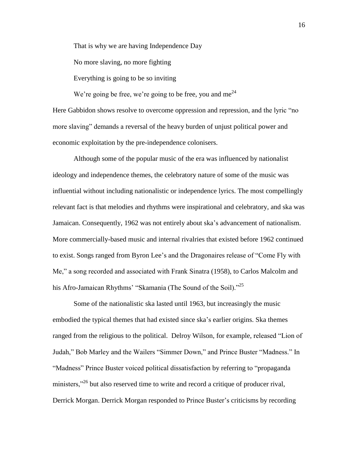That is why we are having Independence Day

No more slaving, no more fighting

Everything is going to be so inviting

We're going be free, we're going to be free, you and me<sup>24</sup> Here Gabbidon shows resolve to overcome oppression and repression, and the lyric "no more slaving" demands a reversal of the heavy burden of unjust political power and economic exploitation by the pre-independence colonisers.

Although some of the popular music of the era was influenced by nationalist ideology and independence themes, the celebratory nature of some of the music was influential without including nationalistic or independence lyrics. The most compellingly relevant fact is that melodies and rhythms were inspirational and celebratory, and ska was Jamaican. Consequently, 1962 was not entirely about ska"s advancement of nationalism. More commercially-based music and internal rivalries that existed before 1962 continued to exist. Songs ranged from Byron Lee"s and the Dragonaires release of "Come Fly with Me," a song recorded and associated with Frank Sinatra (1958), to Carlos Malcolm and his Afro-Jamaican Rhythms' "Skamania (The Sound of the Soil)."<sup>25</sup>

Some of the nationalistic ska lasted until 1963, but increasingly the music embodied the typical themes that had existed since ska"s earlier origins. Ska themes ranged from the religious to the political. Delroy Wilson, for example, released "Lion of Judah," Bob Marley and the Wailers "Simmer Down," and Prince Buster "Madness." In "Madness" Prince Buster voiced political dissatisfaction by referring to "propaganda ministers,"<sup>26</sup> but also reserved time to write and record a critique of producer rival, Derrick Morgan. Derrick Morgan responded to Prince Buster"s criticisms by recording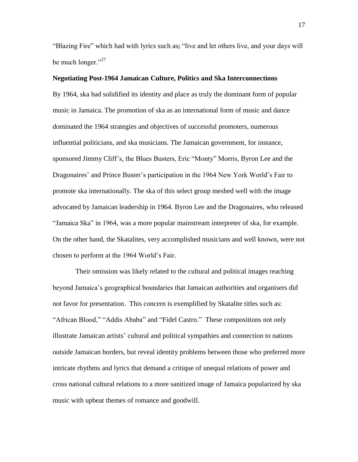"Blazing Fire" which had with lyrics such as; "live and let others live, and your days will be much longer."<sup>27</sup>

## **Negotiating Post-1964 Jamaican Culture, Politics and Ska Interconnections**

By 1964, ska had solidified its identity and place as truly the dominant form of popular music in Jamaica. The promotion of ska as an international form of music and dance dominated the 1964 strategies and objectives of successful promoters, numerous influential politicians, and ska musicians. The Jamaican government, for instance, sponsored Jimmy Cliff"s, the Blues Busters, Eric "Monty" Morris, Byron Lee and the Dragonaires" and Prince Buster"s participation in the 1964 New York World"s Fair to promote ska internationally. The ska of this select group meshed well with the image advocated by Jamaican leadership in 1964. Byron Lee and the Dragonaires, who released "Jamaica Ska" in 1964, was a more popular mainstream interpreter of ska, for example. On the other hand, the Skatalites, very accomplished musicians and well known, were not chosen to perform at the 1964 World"s Fair.

Their omission was likely related to the cultural and political images reaching beyond Jamaica"s geographical boundaries that Jamaican authorities and organisers did not favor for presentation. This concern is exemplified by Skatalite titles such as: "African Blood," "Addis Ababa" and "Fidel Castro." These compositions not only illustrate Jamaican artists" cultural and political sympathies and connection to nations outside Jamaican borders, but reveal identity problems between those who preferred more intricate rhythms and lyrics that demand a critique of unequal relations of power and cross national cultural relations to a more sanitized image of Jamaica popularized by ska music with upbeat themes of romance and goodwill.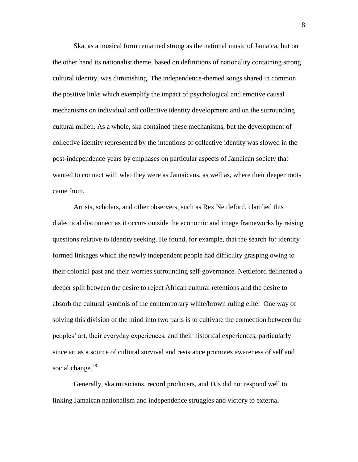Ska, as a musical form remained strong as the national music of Jamaica, but on the other hand its nationalist theme, based on definitions of nationality containing strong cultural identity, was diminishing. The independence-themed songs shared in common the positive links which exemplify the impact of psychological and emotive causal mechanisms on individual and collective identity development and on the surrounding cultural milieu. As a whole, ska contained these mechanisms, but the development of collective identity represented by the intentions of collective identity was slowed in the post-independence years by emphases on particular aspects of Jamaican society that wanted to connect with who they were as Jamaicans, as well as, where their deeper roots came from.

Artists, scholars, and other observers, such as Rex Nettleford, clarified this dialectical disconnect as it occurs outside the economic and image frameworks by raising questions relative to identity seeking. He found, for example, that the search for identity formed linkages which the newly independent people had difficulty grasping owing to their colonial past and their worries surrounding self-governance. Nettleford delineated a deeper split between the desire to reject African cultural retentions and the desire to absorb the cultural symbols of the contemporary white/brown ruling elite. One way of solving this division of the mind into two parts is to cultivate the connection between the peoples" art, their everyday experiences, and their historical experiences, particularly since art as a source of cultural survival and resistance promotes awareness of self and social change. $^{28}$ 

Generally, ska musicians, record producers, and DJs did not respond well to linking Jamaican nationalism and independence struggles and victory to external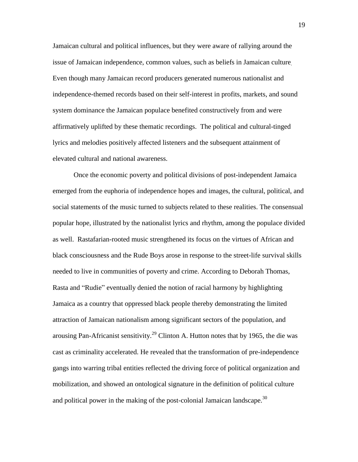Jamaican cultural and political influences, but they were aware of rallying around the issue of Jamaican independence, common values, such as beliefs in Jamaican culture. Even though many Jamaican record producers generated numerous nationalist and independence-themed records based on their self-interest in profits, markets, and sound system dominance the Jamaican populace benefited constructively from and were affirmatively uplifted by these thematic recordings. The political and cultural-tinged lyrics and melodies positively affected listeners and the subsequent attainment of elevated cultural and national awareness.

Once the economic poverty and political divisions of post-independent Jamaica emerged from the euphoria of independence hopes and images, the cultural, political, and social statements of the music turned to subjects related to these realities. The consensual popular hope, illustrated by the nationalist lyrics and rhythm, among the populace divided as well. Rastafarian-rooted music strengthened its focus on the virtues of African and black consciousness and the Rude Boys arose in response to the street-life survival skills needed to live in communities of poverty and crime. According to Deborah Thomas, Rasta and "Rudie" eventually denied the notion of racial harmony by highlighting Jamaica as a country that oppressed black people thereby demonstrating the limited attraction of Jamaican nationalism among significant sectors of the population, and arousing Pan-Africanist sensitivity.<sup>29</sup> Clinton A. Hutton notes that by 1965, the die was cast as criminality accelerated. He revealed that the transformation of pre-independence gangs into warring tribal entities reflected the driving force of political organization and mobilization, and showed an ontological signature in the definition of political culture and political power in the making of the post-colonial Jamaican landscape.<sup>30</sup>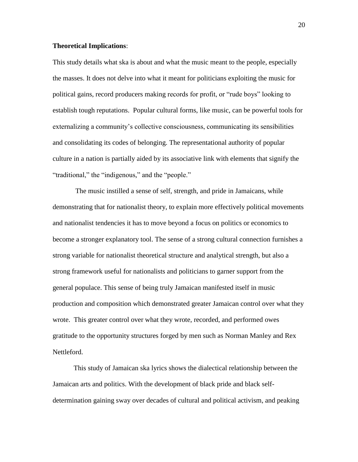#### **Theoretical Implications**:

This study details what ska is about and what the music meant to the people, especially the masses. It does not delve into what it meant for politicians exploiting the music for political gains, record producers making records for profit, or "rude boys" looking to establish tough reputations. Popular cultural forms, like music, can be powerful tools for externalizing a community's collective consciousness, communicating its sensibilities and consolidating its codes of belonging. The representational authority of popular culture in a nation is partially aided by its associative link with elements that signify the "traditional," the "indigenous," and the "people."

The music instilled a sense of self, strength, and pride in Jamaicans, while demonstrating that for nationalist theory, to explain more effectively political movements and nationalist tendencies it has to move beyond a focus on politics or economics to become a stronger explanatory tool. The sense of a strong cultural connection furnishes a strong variable for nationalist theoretical structure and analytical strength, but also a strong framework useful for nationalists and politicians to garner support from the general populace. This sense of being truly Jamaican manifested itself in music production and composition which demonstrated greater Jamaican control over what they wrote. This greater control over what they wrote, recorded, and performed owes gratitude to the opportunity structures forged by men such as Norman Manley and Rex Nettleford.

This study of Jamaican ska lyrics shows the dialectical relationship between the Jamaican arts and politics. With the development of black pride and black selfdetermination gaining sway over decades of cultural and political activism, and peaking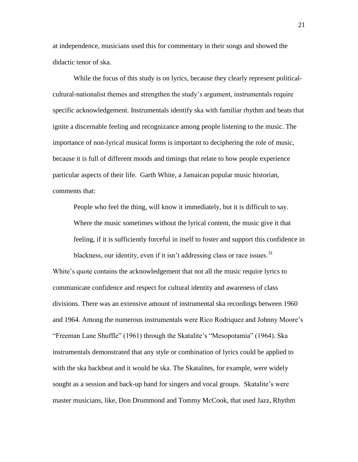at independence, musicians used this for commentary in their songs and showed the didactic tenor of ska.

While the focus of this study is on lyrics, because they clearly represent politicalcultural-nationalist themes and strengthen the study"s argument, instrumentals require specific acknowledgement. Instrumentals identify ska with familiar rhythm and beats that ignite a discernable feeling and recognizance among people listening to the music. The importance of non-lyrical musical forms is important to deciphering the role of music, because it is full of different moods and timings that relate to how people experience particular aspects of their life. Garth White, a Jamaican popular music historian, comments that:

People who feel the thing, will know it immediately, but it is difficult to say. Where the music sometimes without the lyrical content, the music give it that feeling, if it is sufficiently forceful in itself to foster and support this confidence in

blackness, our identity, even if it isn't addressing class or race issues.<sup>31</sup> White's quote contains the acknowledgement that not all the music require lyrics to communicate confidence and respect for cultural identity and awareness of class divisions. There was an extensive amount of instrumental ska recordings between 1960 and 1964. Among the numerous instrumentals were Rico Rodriquez and Johnny Moore"s "Freeman Lane Shuffle" (1961) through the Skatalite"s "Mesopotamia" (1964). Ska instrumentals demonstrated that any style or combination of lyrics could be applied to with the ska backbeat and it would be ska. The Skatalites, for example, were widely sought as a session and back-up band for singers and vocal groups. Skatalite's were master musicians, like, Don Drummond and Tommy McCook, that used Jazz, Rhythm

21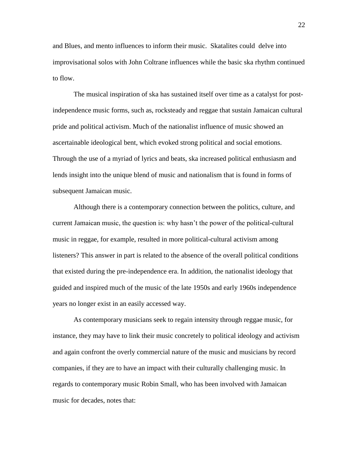and Blues, and mento influences to inform their music. Skatalites could delve into improvisational solos with John Coltrane influences while the basic ska rhythm continued to flow.

The musical inspiration of ska has sustained itself over time as a catalyst for postindependence music forms, such as, rocksteady and reggae that sustain Jamaican cultural pride and political activism. Much of the nationalist influence of music showed an ascertainable ideological bent, which evoked strong political and social emotions. Through the use of a myriad of lyrics and beats, ska increased political enthusiasm and lends insight into the unique blend of music and nationalism that is found in forms of subsequent Jamaican music.

Although there is a contemporary connection between the politics, culture, and current Jamaican music, the question is: why hasn"t the power of the political-cultural music in reggae, for example, resulted in more political-cultural activism among listeners? This answer in part is related to the absence of the overall political conditions that existed during the pre-independence era. In addition, the nationalist ideology that guided and inspired much of the music of the late 1950s and early 1960s independence years no longer exist in an easily accessed way.

As contemporary musicians seek to regain intensity through reggae music, for instance, they may have to link their music concretely to political ideology and activism and again confront the overly commercial nature of the music and musicians by record companies, if they are to have an impact with their culturally challenging music. In regards to contemporary music Robin Small, who has been involved with Jamaican music for decades, notes that:

22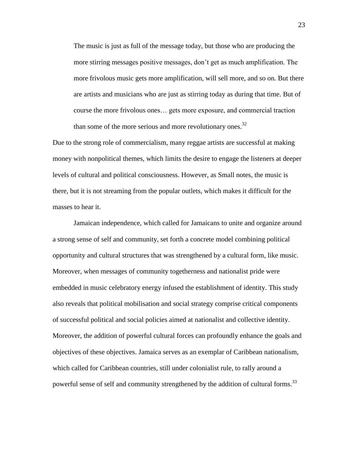The music is just as full of the message today, but those who are producing the more stirring messages positive messages, don"t get as much amplification. The more frivolous music gets more amplification, will sell more, and so on. But there are artists and musicians who are just as stirring today as during that time. But of course the more frivolous ones… gets more exposure, and commercial traction than some of the more serious and more revolutionary ones.<sup>32</sup>

Due to the strong role of commercialism, many reggae artists are successful at making money with nonpolitical themes, which limits the desire to engage the listeners at deeper levels of cultural and political consciousness. However, as Small notes, the music is there, but it is not streaming from the popular outlets, which makes it difficult for the masses to hear it.

Jamaican independence, which called for Jamaicans to unite and organize around a strong sense of self and community, set forth a concrete model combining political opportunity and cultural structures that was strengthened by a cultural form, like music. Moreover, when messages of community togetherness and nationalist pride were embedded in music celebratory energy infused the establishment of identity. This study also reveals that political mobilisation and social strategy comprise critical components of successful political and social policies aimed at nationalist and collective identity. Moreover, the addition of powerful cultural forces can profoundly enhance the goals and objectives of these objectives. Jamaica serves as an exemplar of Caribbean nationalism, which called for Caribbean countries, still under colonialist rule, to rally around a powerful sense of self and community strengthened by the addition of cultural forms.<sup>33</sup>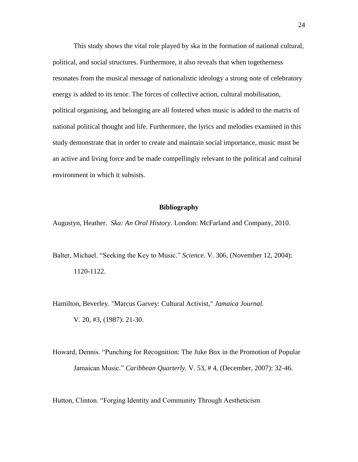This study shows the vital role played by ska in the formation of national cultural, political, and social structures. Furthermore, it also reveals that when togetherness resonates from the musical message of nationalistic ideology a strong note of celebratory energy is added to its tenor. The forces of collective action, cultural mobilisation, political organising, and belonging are all fostered when music is added to the matrix of national political thought and life. Furthermore, the lyrics and melodies examined in this study demonstrate that in order to create and maintain social importance, music must be an active and living force and be made compellingly relevant to the political and cultural environment in which it subsists.

#### **Bibliography**

Augustyn, Heather. *Ska: An Oral History*. London: McFarland and Company, 2010.

- Balter, Michael. "Seeking the Key to Music." *Science*. V. 306, (November 12, 2004): 1120-1122.
- Hamilton, Beverley. "Marcus Garvey: Cultural Activist," *Jamaica Journal*. V. 20, #3, (1987): 21-30.
- Howard, Dennis. "Punching for Recognition: The Juke Box in the Promotion of Popular Jamaican Music." *Caribbean Quarterly*. V. 53, # 4, (December, 2007): 32-46.

Hutton, Clinton. "Forging Identity and Community Through Aestheticism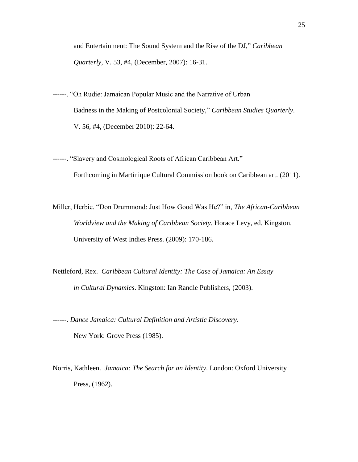and Entertainment: The Sound System and the Rise of the DJ," *Caribbean Quarterly*, V. 53, #4, (December, 2007): 16-31.

- ------. "Oh Rudie: Jamaican Popular Music and the Narrative of Urban Badness in the Making of Postcolonial Society," *Caribbean Studies Quarterly*. V. 56, #4, (December 2010): 22-64.
- ------. "Slavery and Cosmological Roots of African Caribbean Art." Forthcoming in Martinique Cultural Commission book on Caribbean art. (2011).
- Miller, Herbie. "Don Drummond: Just How Good Was He?" in, *The African-Caribbean Worldview and the Making of Caribbean Society*. Horace Levy, ed. Kingston. University of West Indies Press. (2009): 170-186.
- Nettleford, Rex. *Caribbean Cultural Identity: The Case of Jamaica: An Essay in Cultural Dynamics*. Kingston: Ian Randle Publishers, (2003).

------. *Dance Jamaica: Cultural Definition and Artistic Discovery*. New York: Grove Press (1985).

Norris, Kathleen. *Jamaica: The Search for an Identity*. London: Oxford University Press, (1962).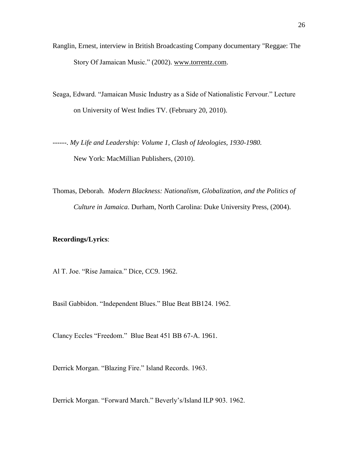- Ranglin, Ernest, interview in British Broadcasting Company documentary "Reggae: The Story Of Jamaican Music." (2002). [www.torrentz.com.](http://www.torrentz.com/)
- Seaga, Edward. "Jamaican Music Industry as a Side of Nationalistic Fervour." Lecture on University of West Indies TV. (February 20, 2010).
- ------. *My Life and Leadership: Volume 1, Clash of Ideologies, 1930-1980.* New York: MacMillian Publishers, (2010).
- Thomas, Deborah. *Modern Blackness: Nationalism, Globalization, and the Politics of Culture in Jamaica*. Durham, North Carolina: Duke University Press, (2004).

## **Recordings/Lyrics**:

Al T. Joe. "Rise Jamaica." Dice, CC9. 1962.

Basil Gabbidon. "Independent Blues." Blue Beat BB124. 1962.

Clancy Eccles "Freedom." Blue Beat 451 BB 67-A. 1961.

Derrick Morgan. "Blazing Fire." Island Records. 1963.

Derrick Morgan. "Forward March." Beverly"s/Island ILP 903. 1962.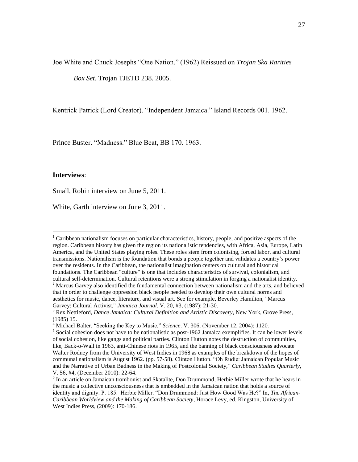Joe White and Chuck Josephs "One Nation." (1962) Reissued on *Trojan Ska Rarities* 

*Box Set*. Trojan TJETD 238. 2005.

Kentrick Patrick (Lord Creator). "Independent Jamaica." Island Records 001. 1962.

Prince Buster. "Madness." Blue Beat, BB 170. 1963.

#### **Interviews**:

 $\overline{a}$ 

Small, Robin interview on June 5, 2011.

White, Garth interview on June 3, 2011.

<sup>1</sup> Caribbean nationalism focuses on particular characteristics, history, people, and positive aspects of the region. Caribbean history has given the region its nationalistic tendencies, with Africa, Asia, Europe, Latin America, and the United States playing roles. These roles stem from colonising, forced labor, and cultural transmissions. Nationalism is the foundation that bonds a people together and validates a country"s power over the residents. In the Caribbean, the nationalist imagination centers on cultural and historical foundations. The Caribbean "culture" is one that includes characteristics of survival, colonialism, and cultural self-determination. Cultural retentions were a strong stimulation in forging a nationalist identity. <sup>2</sup> Marcus Garvey also identified the fundamental connection between nationalism and the arts, and believed that in order to challenge oppression black people needed to develop their own cultural norms and aesthetics for music, dance, literature, and visual art. See for example, Beverley Hamilton, "Marcus Garvey: Cultural Activist," *Jamaica Journal*. V. 20, #3, (1987): 21-30.

<sup>3</sup> Rex Nettleford, *Dance Jamaica: Cultural Definition and Artistic Discovery*, New York, Grove Press, (1985) 15.

<sup>4</sup> Michael Balter, "Seeking the Key to Music," *Science*. V. 306, (November 12, 2004): 1120.

<sup>&</sup>lt;sup>5</sup> Social cohesion does not have to be nationalistic as post-1962 Jamaica exemplifies. It can be lower levels of social cohesion, like gangs and political parties. Clinton Hutton notes the destruction of communities, like, Back-o-Wall in 1963, anti-Chinese riots in 1965, and the banning of black consciousness advocate Walter Rodney from the University of West Indies in 1968 as examples of the breakdown of the hopes of communal nationalism is August 1962. (pp. 57-58). Clinton Hutton. "Oh Rudie: Jamaican Popular Music and the Narrative of Urban Badness in the Making of Postcolonial Society," *Caribbean Studies Quarterly*, V. 56, #4, (December 2010): 22-64.

<sup>&</sup>lt;sup>6</sup> In an article on Jamaican trombonist and Skatalite, Don Drummond, Herbie Miller wrote that he hears in the music a collective unconsciousness that is embedded in the Jamaican nation that holds a source of identity and dignity. P. 185. Herbie Miller. "Don Drummond: Just How Good Was He?" In, *The African-Caribbean Worldview and the Making of Caribbean Society*, Horace Levy, ed. Kingston, University of West Indies Press, (2009): 170-186.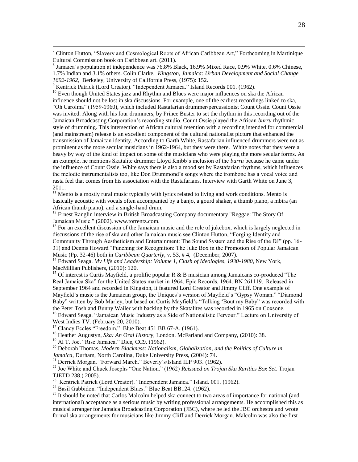<sup>7</sup> Clinton Hutton, "Slavery and Cosmological Roots of African Caribbean Art," Forthcoming in Martinique Cultural Commission book on Caribbean art. (2011).

<sup>10</sup> Even though United States jazz and Rhythm and Blues were major influences on ska the African influence should not be lost in ska discussions. For example, one of the earliest recordings linked to ska, "Oh Carolina" (1959-1960), which included Rastafarian drummer/percussionist Count Ossie. Count Ossie was invited. Along with his four drummers, by Prince Buster to set the rhythm in this recording out of the Jamaican Broadcasting Corporation"s recording studio. Count Ossie played the African *burru* rhythmic style of drumming. This intersection of African cultural retention with a recording intended for commercial (and mainstream) release is an excellent component of the cultural nationalist picture that enhanced the transmission of Jamaican identity. According to Garth White, Rastafarian influenced drummers were not as prominent as the more secular musicians in 1962-1964, but they were there. White notes that they were a heavy by way of the kind of impact on some of the musicians who were playing the more secular forms. As an example, he mentions Skatalite drummer Lloyd Knibb"s inclusion of the *burru* because he came under the influence of Count Ossie. White says there is also a mood set by Rastafarian rhythms, which influences the melodic instrumentalists too, like Don Drummond"s songs where the trombone has a vocal voice and rasta feel that comes from his association with the Rastafarians. Interview with Garth White on June 3, 2011.

 $11$  Mento is a mostly rural music typically with lyrics related to living and work conditions. Mento is basically acoustic with vocals often accompanied by a banjo, a gourd shaker, a thumb piano, a mbira (an African thumb piano), and a single-hand drum.

 $12$  Ernest Ranglin interview in British Broadcasting Company documentary "Reggae: The Story Of Jamaican Music." (2002). www.torrentz.com.

 $13$  For an excellent discussion of the Jamaican music and the role of jukebox, which is largely neglected in discussions of the rise of ska and other Jamaican music see Clinton Hutton, "Forging Identity and Community Through Aestheticism and Entertainment: The Sound System and the Rise of the DJ" (pp. 16- 31) and Dennis Howard "Punching for Recognition: The Juke Box in the Promotion of Popular Jamaican Music (Pp. 32-46) both in *Caribbean Quarterly*, v. 53, # 4, (December, 2007).

<sup>14</sup> Edward Seaga. *My Life and Leadership: Volume 1, Clash of Ideologies, 1930-1980*, New York, MacMillian Publishers, (2010): 120.

<sup>15</sup> Of interest is Curtis Mayfield, a prolific popular R & B musician among Jamaicans co-produced "The Real Jamaica Ska" for the United States market in 1964. Epic Records, 1964. BN 261119. Released in September 1964 and recorded in Kingston, it featured Lord Creator and Jimmy Cliff. One example of Mayfield's music is the Jamaican group, the Uniques's version of Mayfield's "Gypsy Woman." "Diamond Baby" written by Bob Marley, but based on Curtis Mayfield"s "Talking "Bout my Baby" was recorded with the Peter Tosh and Bunny Wailer with backing by the Skatalites was recorded in 1965 on Coxsone. <sup>16</sup> Edward Seaga. "Jamaican Music Industry as a Side of Nationalistic Fervour." Lecture on University of

West Indies TV. (February 20, 2010).

 $\overline{a}$ 

<sup>17</sup> Clancy Eccles "Freedom." Blue Beat 451 BB 67-A. (1961).

<sup>18</sup> Heather Augustyn, *Ska: An Oral History*, London. McFarland and Company, (2010): 38.

<sup>19</sup> Al T. Joe. "Rise Jamaica." Dice, CC9. (1962).

<sup>20</sup> Deborah Thomas, *Modern Blackness: Nationalism, Globalization, and the Politics of Culture in Jamaica*, Durham, North Carolina, Duke University Press, (2004): 74.

<sup>21</sup> Derrick Morgan. "Forward March." Beverly's/Island ILP 903. (1962).

<sup>22</sup> Joe White and Chuck Josephs "One Nation." (1962) *Reissued on Trojan Ska Rarities Box Set*. Trojan TJETD 238.( 2005).

<sup>23</sup> Kentrick Patrick (Lord Creator). "Independent Jamaica." Island. 001. (1962).

<sup>24</sup> Basil Gabbidon. "Independent Blues." Blue Beat BB124. (1962).

<sup>25</sup> It should be noted that Carlos Malcolm helped ska connect to two areas of importance for national (and international) acceptance as a serious music by writing professional arrangements. He accomplished this as musical arranger for Jamaica Broadcasting Corporation (JBC), where he led the JBC orchestra and wrote formal ska arrangements for musicians like Jimmy Cliff and Derrick Morgan. Malcolm was also the first

 $8$  Jamaica's population at independence was 76.8% Black, 16.9% Mixed Race, 0.9% White, 0.6% Chinese, 1.7% Indian and 3.1% others. Colin Clarke, *Kingston, Jamaica: Urban Development and Social Change 1692-1962*, Berkeley, University of California Press, (1975): 152.

<sup>&</sup>lt;sup>9</sup> Kentrick Patrick (Lord Creator). "Independent Jamaica." Island Records 001. (1962).